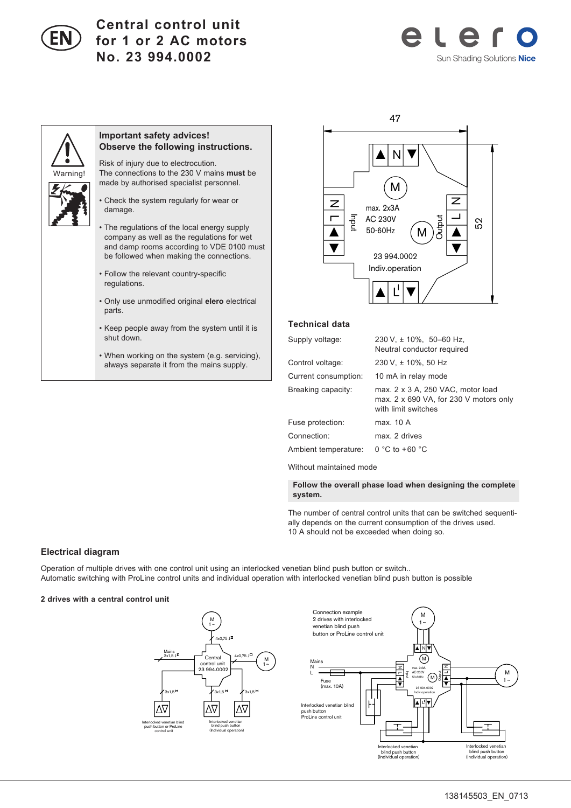

# **Central control unit for 1 or 2 AC motors No. 23 994.0002**





## **Important safety advices! Observe the following instructions.**

Risk of injury due to electrocution. The connections to the 230 V mains **must** be made by authorised specialist personnel.

• Check the system regularly for wear or damage.

- The regulations of the local energy supply company as well as the regulations for wet and damp rooms according to VDE 0100 must be followed when making the connections.
- Follow the relevant country-specific regulations.
- Only use unmodified original **elero** electrical parts.
- Keep people away from the system until it is shut down.
- When working on the system (e.g. servicing), always separate it from the mains supply.



### **Technical data**

| Supply voltage:      | $230 \text{ V}$ , $\pm 10\%$ , 50-60 Hz,<br>Neutral conductor required                                      |
|----------------------|-------------------------------------------------------------------------------------------------------------|
| Control voltage:     | 230 V, ± 10%, 50 Hz                                                                                         |
| Current consumption: | 10 mA in relay mode                                                                                         |
| Breaking capacity:   | max. $2 \times 3$ A, $250$ VAC, motor load<br>max. 2 x 690 VA, for 230 V motors only<br>with limit switches |
| Fuse protection:     | max. 10 A                                                                                                   |
| Connection:          | max. 2 drives                                                                                               |
| Ambient temperature: | $0 °C$ to +60 $°C$                                                                                          |
|                      |                                                                                                             |

Without maintained mode

 **Follow the overall phase load when designing the complete system.**

The number of central control units that can be switched sequentially depends on the current consumption of the drives used. 10 A should not be exceeded when doing so.

## **Electrical diagram**

Operation of multiple drives with one control unit using an interlocked venetian blind push button or switch.. Automatic switching with ProLine control units and individual operation with interlocked venetian blind push button is possible

### **2 drives with a central control unit**